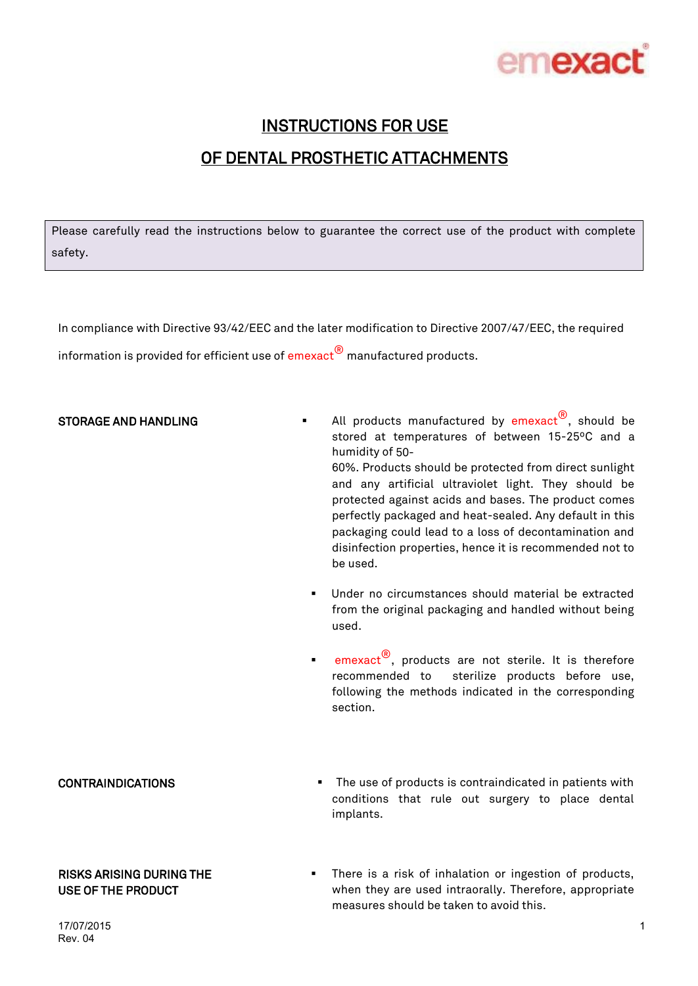

# INSTRUCTIONS FOR USE OF DENTAL PROSTHETIC ATTACHMENTS

Please carefully read the instructions below to guarantee the correct use of the product with complete safety.

In compliance with Directive 93/42/EEC and the later modification to Directive 2007/47/EEC, the required information is provided for efficient use of  $\mathsf{emexact}^\circledR$  manufactured products.

**STORAGE AND HANDLING**  $\blacksquare$  All products manufactured by  $\mathsf{emexact}^{(\emptyset)}$ , should be stored at temperatures of between 15-25ºC and a humidity of 50- 60%. Products should be protected from direct sunlight and any artificial ultraviolet light. They should be protected against acids and bases. The product comes perfectly packaged and heat-sealed. Any default in this

packaging could lead to a loss of decontamination and disinfection properties, hence it is recommended not to be used.

- Under no circumstances should material be extracted from the original packaging and handled without being used.
- **emexact**<sup>®</sup>, products are not sterile. It is therefore recommended to sterilize products before use, following the methods indicated in the corresponding section.

### CONTRAINDICATIONS The use of products is contraindicated in patients with

USE OF THE PRODUCT

RISKS ARISING DURING THE

implants.

### There is a risk of inhalation or ingestion of products, when they are used intraorally. Therefore, appropriate measures should be taken to avoid this.

conditions that rule out surgery to place dental

17/07/2015 Rev. 04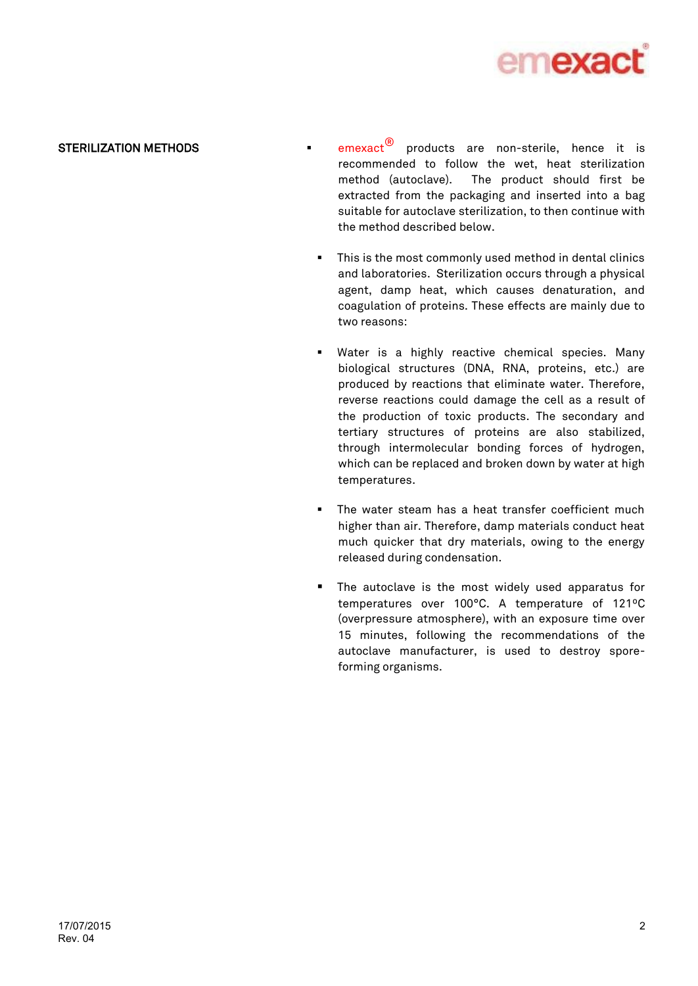

**STERILIZATION METHODS**  $\bullet$  emexact<sup>®</sup> products are non-sterile, hence it is recommended to follow the wet, heat sterilization method (autoclave). The product should first be extracted from the packaging and inserted into a bag suitable for autoclave sterilization, to then continue with the method described below.

- This is the most commonly used method in dental clinics and laboratories. Sterilization occurs through a physical agent, damp heat, which causes denaturation, and coagulation of proteins. These effects are mainly due to two reasons:
- Water is a highly reactive chemical species. Many biological structures (DNA, RNA, proteins, etc.) are produced by reactions that eliminate water. Therefore, reverse reactions could damage the cell as a result of the production of toxic products. The secondary and tertiary structures of proteins are also stabilized, through intermolecular bonding forces of hydrogen, which can be replaced and broken down by water at high temperatures.
- The water steam has a heat transfer coefficient much higher than air. Therefore, damp materials conduct heat much quicker that dry materials, owing to the energy released during condensation.
- **The autoclave is the most widely used apparatus for** temperatures over 100°C. A temperature of 121ºC (overpressure atmosphere), with an exposure time over 15 minutes, following the recommendations of the autoclave manufacturer, is used to destroy sporeforming organisms.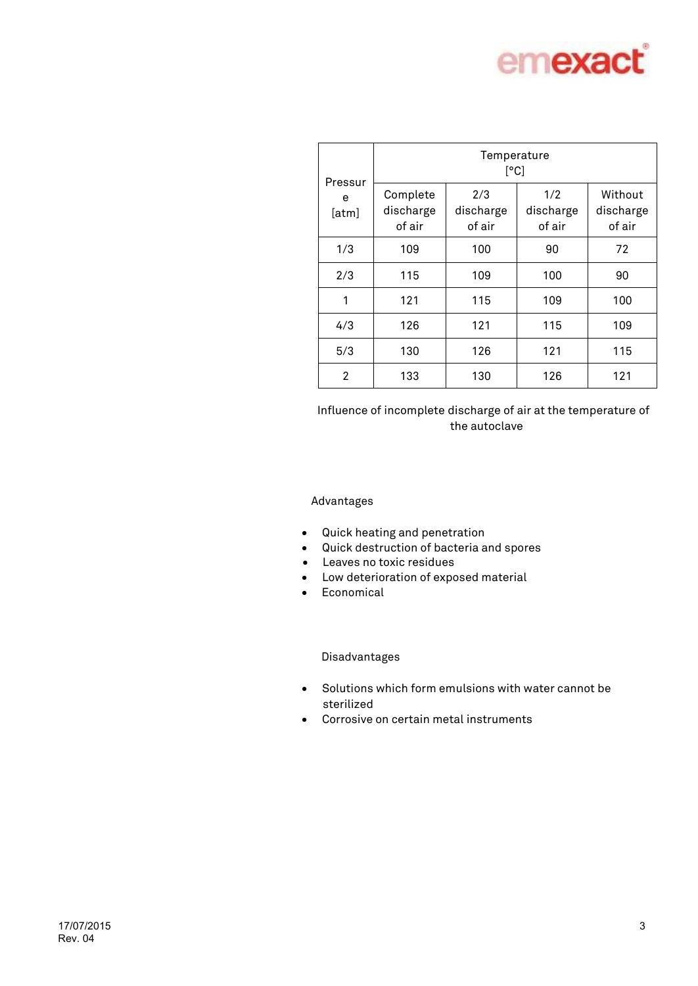

| Pressur<br>e<br>[atm] | Temperature<br>[°C]             |                            |                            |                                |  |
|-----------------------|---------------------------------|----------------------------|----------------------------|--------------------------------|--|
|                       | Complete<br>discharge<br>of air | 2/3<br>discharge<br>of air | 1/2<br>discharge<br>of air | Without<br>discharge<br>of air |  |
| 1/3                   | 109                             | 100                        | 90                         | 72                             |  |
| 2/3                   | 115                             | 109                        | 100                        | 90                             |  |
| 1                     | 121                             | 115                        | 109                        | 100                            |  |
| 4/3                   | 126                             | 121                        | 115                        | 109                            |  |
| 5/3                   | 130                             | 126                        | 121                        | 115                            |  |
| $\overline{2}$        | 133                             | 130                        | 126                        | 121                            |  |

Influence of incomplete discharge of air at the temperature of the autoclave

### Advantages

- Quick heating and penetration
- Quick destruction of bacteria and spores
- Leaves no toxic residues
- Low deterioration of exposed material
- **•** Economical

### Disadvantages

- Solutions which form emulsions with water cannot be sterilized
- Corrosive on certain metal instruments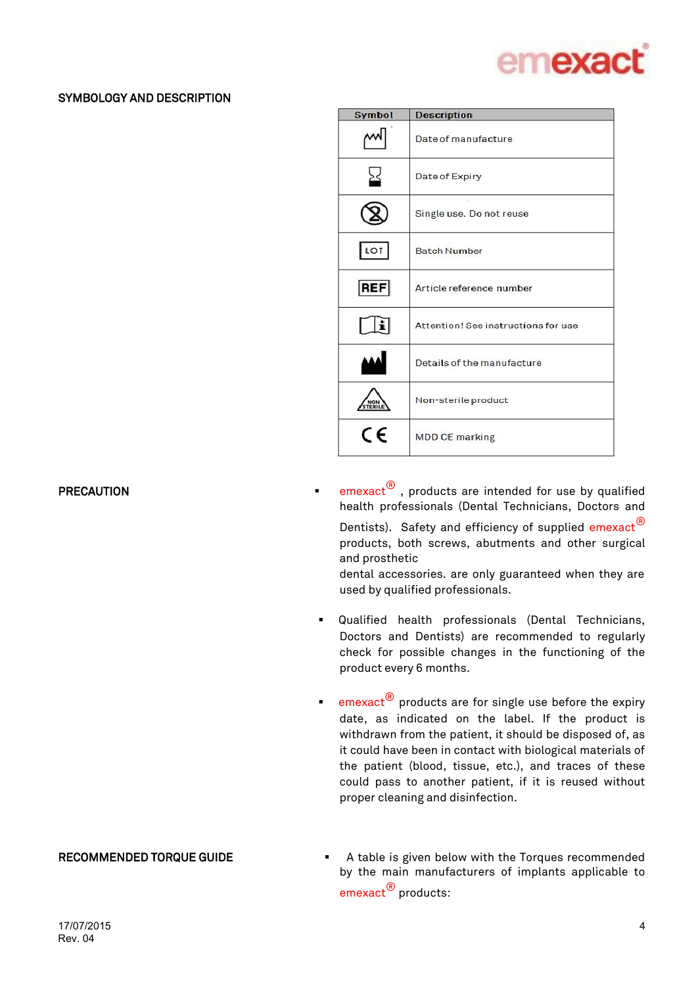

## SYMBOLOGY AND DESCRIPTION

| Symbol     | <b>Description</b>                  |  |  |
|------------|-------------------------------------|--|--|
|            | Date of manufacture                 |  |  |
| ≥≤         | Date of Expiry                      |  |  |
|            | Single use. Do not reuse            |  |  |
| LOT        | <b>Batch Number</b>                 |  |  |
| <b>REF</b> | Article reference number            |  |  |
|            | Attention! See instructions for use |  |  |
|            | Details of the manufacture          |  |  |
|            | Non-sterile product                 |  |  |
| C F        | <b>MDD CE marking</b>               |  |  |

**PRECAUTION EXECUTION EXECUTION EXECUTION EXECUTION EXECUTION EXECUTION EXECUTION EXECUTION EXECUTION** health professionals (Dental Technicians, Doctors and Dentists). Safety and efficiency of supplied emexact<sup>®</sup> products, both screws, abutments and other surgical and prosthetic

> dental accessories. are only guaranteed when they are used by qualified professionals.

- Qualified health professionals (Dental Technicians, Doctors and Dentists) are recommended to regularly check for possible changes in the functioning of the product every 6 months.
- **emexact**<sup>®</sup> products are for single use before the expiry date, as indicated on the label. If the product is withdrawn from the patient, it should be disposed of, as it could have been in contact with biological materials of the patient (blood, tissue, etc.), and traces of these could pass to another patient, if it is reused without proper cleaning and disinfection.

RECOMMENDED TORQUE GUIDE **A** table is given below with the Torques recommended by the main manufacturers of implants applicable to emexact<sup>®</sup> products: